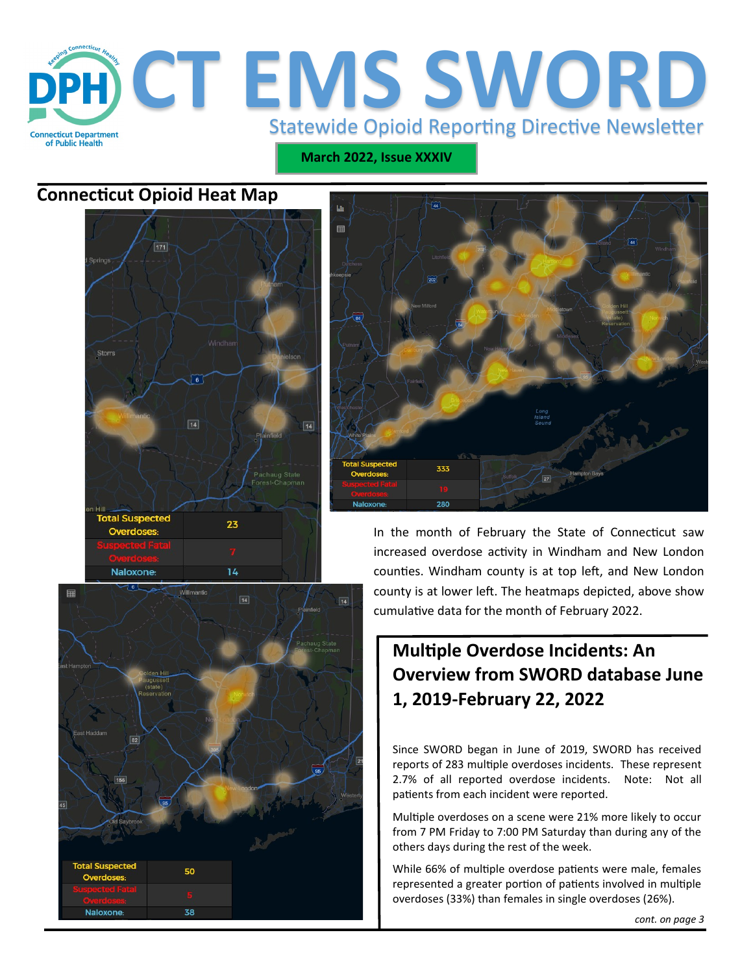

**March 2022, Issue XXXIV**

## **Connecticut Opioid Heat Map**







In the month of February the State of Connecticut saw increased overdose activity in Windham and New London counties. Windham county is at top left, and New London county is at lower left. The heatmaps depicted, above show cumulative data for the month of February 2022.

# **Multiple Overdose Incidents: An Overview from SWORD database June 1, 2019-February 22, 2022**

Since SWORD began in June of 2019, SWORD has received reports of 283 multiple overdoses incidents. These represent 2.7% of all reported overdose incidents. Note: Not all patients from each incident were reported.

Multiple overdoses on a scene were 21% more likely to occur from 7 PM Friday to 7:00 PM Saturday than during any of the others days during the rest of the week.

While 66% of multiple overdose patients were male, females represented a greater portion of patients involved in multiple overdoses (33%) than females in single overdoses (26%).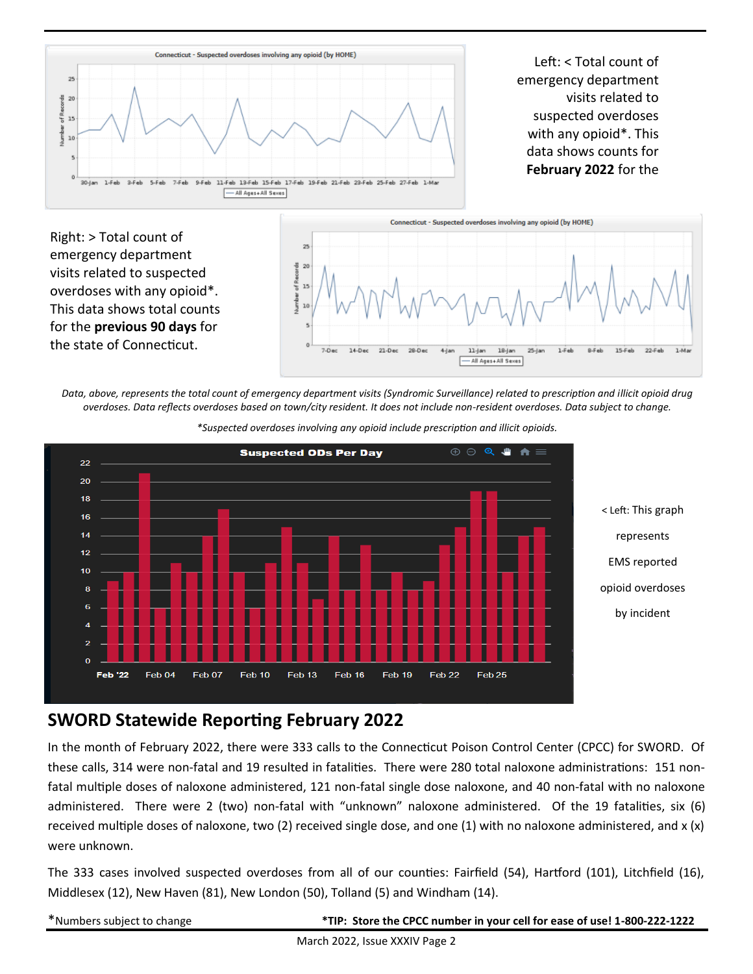

Left: < Total count of emergency department visits related to suspected overdoses with any opioid\*. This data shows counts for **February 2022** for the



*Data, above, represents the total count of emergency department visits (Syndromic Surveillance) related to prescription and illicit opioid drug overdoses. Data reflects overdoses based on town/city resident. It does not include non-resident overdoses. Data subject to change.* 



*\*Suspected overdoses involving any opioid include prescription and illicit opioids.*

### **SWORD Statewide Reporting February 2022**

In the month of February 2022, there were 333 calls to the Connecticut Poison Control Center (CPCC) for SWORD. Of these calls, 314 were non-fatal and 19 resulted in fatalities. There were 280 total naloxone administrations: 151 nonfatal multiple doses of naloxone administered, 121 non-fatal single dose naloxone, and 40 non-fatal with no naloxone administered. There were 2 (two) non-fatal with "unknown" naloxone administered. Of the 19 fatalities, six (6) received multiple doses of naloxone, two (2) received single dose, and one (1) with no naloxone administered, and  $x(x)$ were unknown.

The 333 cases involved suspected overdoses from all of our counties: Fairfield (54), Hartford (101), Litchfield (16), Middlesex (12), New Haven (81), New London (50), Tolland (5) and Windham (14).

\*Numbers subject to change **\*TIP: Store the CPCC number in your cell for ease of use! 1-800-222-1222**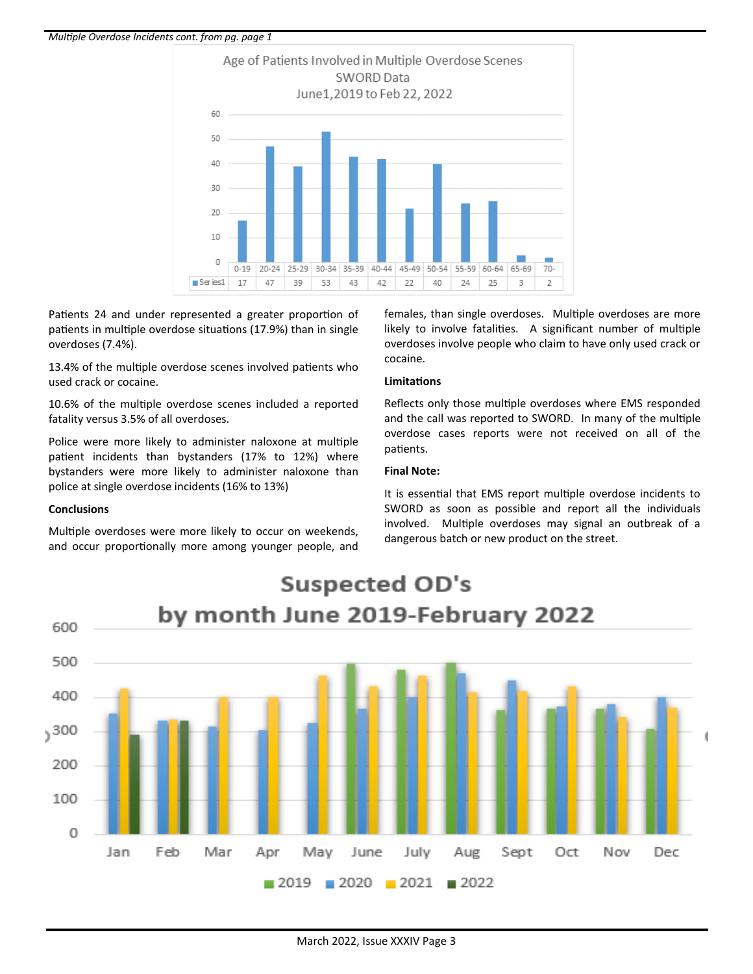#### *Multiple Overdose Incidents cont. from pg. page 1*



Patients 24 and under represented a greater proportion of patients in multiple overdose situations (17.9%) than in single overdoses (7.4%).

13.4% of the multiple overdose scenes involved patients who used crack or cocaine.

10.6% of the multiple overdose scenes included a reported fatality versus 3.5% of all overdoses.

Police were more likely to administer naloxone at multiple patient incidents than bystanders (17% to 12%) where bystanders were more likely to administer naloxone than police at single overdose incidents (16% to 13%)

#### **Conclusions**

Multiple overdoses were more likely to occur on weekends, and occur proportionally more among younger people, and females, than single overdoses. Multiple overdoses are more likely to involve fatalities. A significant number of multiple overdoses involve people who claim to have only used crack or cocaine.

#### **Limitations**

Reflects only those multiple overdoses where EMS responded and the call was reported to SWORD. In many of the multiple overdose cases reports were not received on all of the patients.

#### **Final Note:**

It is essential that EMS report multiple overdose incidents to SWORD as soon as possible and report all the individuals involved. Multiple overdoses may signal an outbreak of a dangerous batch or new product on the street.



#### March 2022, Issue XXXIV Page 3